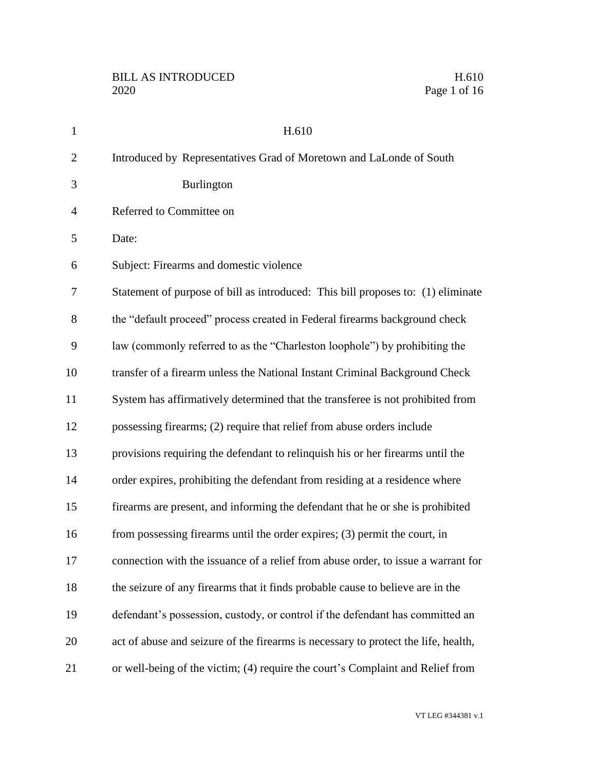Page 1 of 16

| $\mathbf{1}$   | H.610                                                                              |
|----------------|------------------------------------------------------------------------------------|
| $\overline{2}$ | Introduced by Representatives Grad of Moretown and LaLonde of South                |
| 3              | Burlington                                                                         |
| $\overline{4}$ | Referred to Committee on                                                           |
| 5              | Date:                                                                              |
| 6              | Subject: Firearms and domestic violence                                            |
| 7              | Statement of purpose of bill as introduced: This bill proposes to: (1) eliminate   |
| 8              | the "default proceed" process created in Federal firearms background check         |
| 9              | law (commonly referred to as the "Charleston loophole") by prohibiting the         |
| 10             | transfer of a firearm unless the National Instant Criminal Background Check        |
| 11             | System has affirmatively determined that the transferee is not prohibited from     |
| 12             | possessing firearms; (2) require that relief from abuse orders include             |
| 13             | provisions requiring the defendant to relinquish his or her firearms until the     |
| 14             | order expires, prohibiting the defendant from residing at a residence where        |
| 15             | firearms are present, and informing the defendant that he or she is prohibited     |
| 16             | from possessing firearms until the order expires; (3) permit the court, in         |
| 17             | connection with the issuance of a relief from abuse order, to issue a warrant for  |
| 18             | the seizure of any firearms that it finds probable cause to believe are in the     |
| 19             | defendant's possession, custody, or control if the defendant has committed an      |
| 20             | act of abuse and seizure of the firearms is necessary to protect the life, health, |
| 21             | or well-being of the victim; (4) require the court's Complaint and Relief from     |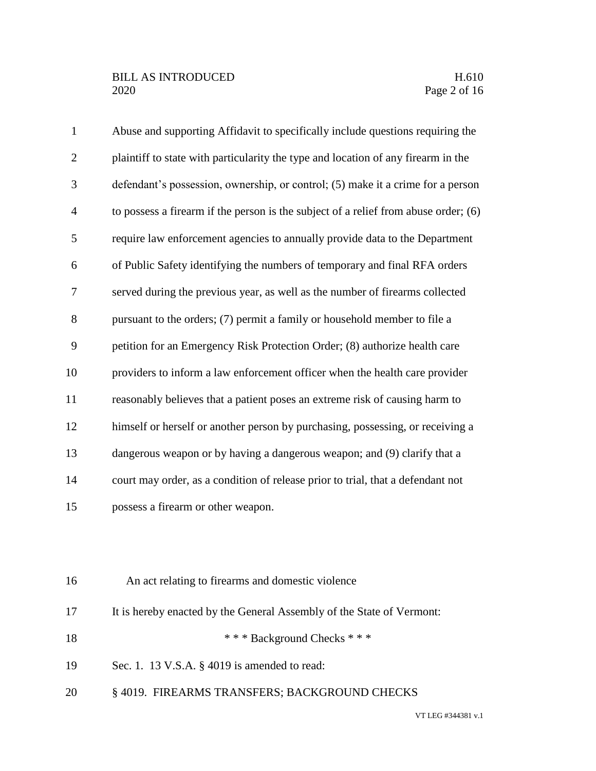| $\mathbf{1}$   | Abuse and supporting Affidavit to specifically include questions requiring the      |
|----------------|-------------------------------------------------------------------------------------|
| $\overline{2}$ | plaintiff to state with particularity the type and location of any firearm in the   |
| 3              | defendant's possession, ownership, or control; (5) make it a crime for a person     |
| $\overline{4}$ | to possess a firearm if the person is the subject of a relief from abuse order; (6) |
| 5              | require law enforcement agencies to annually provide data to the Department         |
| 6              | of Public Safety identifying the numbers of temporary and final RFA orders          |
| 7              | served during the previous year, as well as the number of firearms collected        |
| 8              | pursuant to the orders; (7) permit a family or household member to file a           |
| 9              | petition for an Emergency Risk Protection Order; (8) authorize health care          |
| 10             | providers to inform a law enforcement officer when the health care provider         |
| 11             | reasonably believes that a patient poses an extreme risk of causing harm to         |
| 12             | himself or herself or another person by purchasing, possessing, or receiving a      |
| 13             | dangerous weapon or by having a dangerous weapon; and (9) clarify that a            |
| 14             | court may order, as a condition of release prior to trial, that a defendant not     |
| 15             | possess a firearm or other weapon.                                                  |
|                |                                                                                     |

| 16<br>An act relating to firearms and domestic violence |  |
|---------------------------------------------------------|--|
|---------------------------------------------------------|--|

- It is hereby enacted by the General Assembly of the State of Vermont:
- 18 \* \* \* Background Checks \* \* \*
- Sec. 1. 13 V.S.A. § 4019 is amended to read:
- § 4019. FIREARMS TRANSFERS; BACKGROUND CHECKS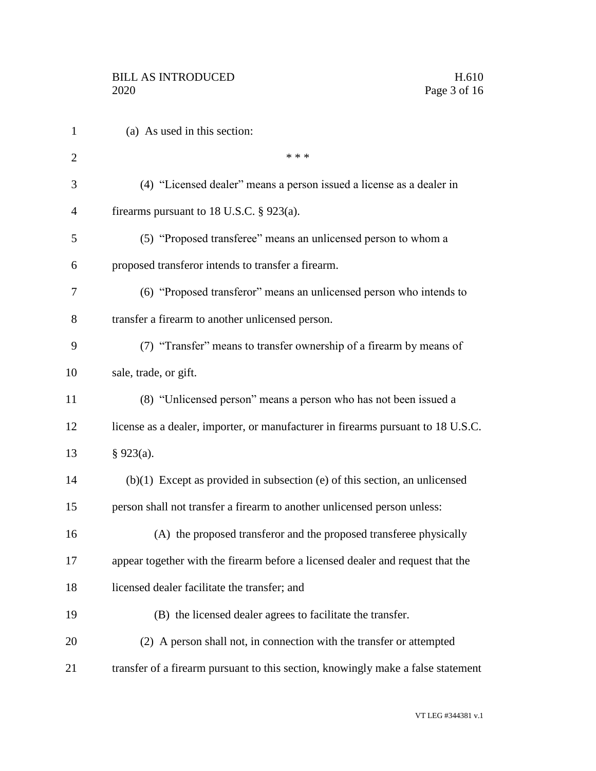| $\mathbf{1}$   | (a) As used in this section:                                                     |
|----------------|----------------------------------------------------------------------------------|
| $\overline{2}$ | * * *                                                                            |
| 3              | (4) "Licensed dealer" means a person issued a license as a dealer in             |
| 4              | firearms pursuant to 18 U.S.C. $\S$ 923(a).                                      |
| 5              | (5) "Proposed transferee" means an unlicensed person to whom a                   |
| 6              | proposed transferor intends to transfer a firearm.                               |
| 7              | (6) "Proposed transferor" means an unlicensed person who intends to              |
| 8              | transfer a firearm to another unlicensed person.                                 |
| 9              | (7) "Transfer" means to transfer ownership of a firearm by means of              |
| 10             | sale, trade, or gift.                                                            |
| 11             | (8) "Unlicensed person" means a person who has not been issued a                 |
| 12             | license as a dealer, importer, or manufacturer in firearms pursuant to 18 U.S.C. |
| 13             | $§$ 923(a).                                                                      |
| 14             | $(b)(1)$ Except as provided in subsection (e) of this section, an unlicensed     |
| 15             | person shall not transfer a firearm to another unlicensed person unless:         |
| 16             | (A) the proposed transferor and the proposed transferee physically               |
| 17             | appear together with the firearm before a licensed dealer and request that the   |
| 18             | licensed dealer facilitate the transfer; and                                     |
| 19             | (B) the licensed dealer agrees to facilitate the transfer.                       |
| 20             | (2) A person shall not, in connection with the transfer or attempted             |
| 21             | transfer of a firearm pursuant to this section, knowingly make a false statement |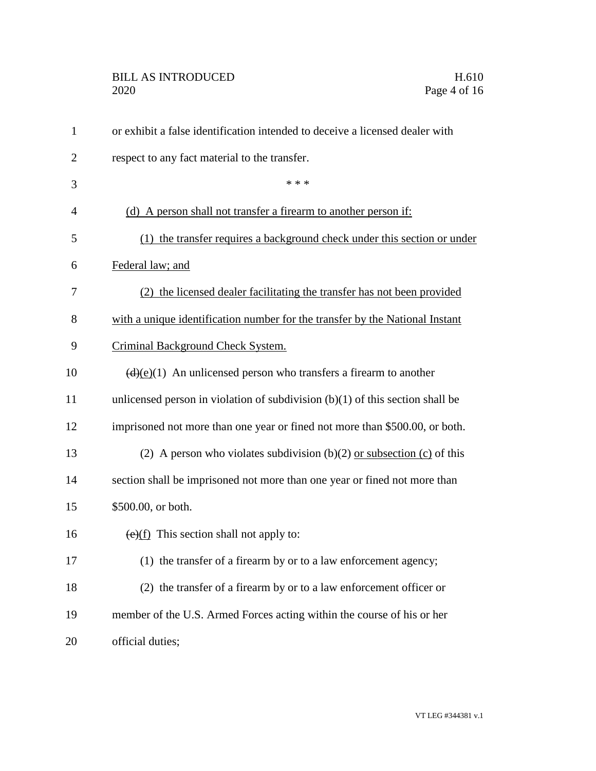# BILL AS INTRODUCED H.610<br>2020 Page 4 of 16

| $\mathbf{1}$   | or exhibit a false identification intended to deceive a licensed dealer with             |
|----------------|------------------------------------------------------------------------------------------|
| $\overline{2}$ | respect to any fact material to the transfer.                                            |
| 3              | * * *                                                                                    |
| $\overline{4}$ | (d) A person shall not transfer a firearm to another person if:                          |
| 5              | the transfer requires a background check under this section or under<br>(1)              |
| 6              | Federal law; and                                                                         |
| 7              | (2) the licensed dealer facilitating the transfer has not been provided                  |
| 8              | with a unique identification number for the transfer by the National Instant             |
| 9              | Criminal Background Check System.                                                        |
| 10             | $\left(\frac{d}{e}(e)(1)\right)$ An unlicensed person who transfers a firearm to another |
| 11             | unlicensed person in violation of subdivision $(b)(1)$ of this section shall be          |
| 12             | imprisoned not more than one year or fined not more than \$500.00, or both.              |
| 13             | (2) A person who violates subdivision (b)(2) or subsection (c) of this                   |
| 14             | section shall be imprisoned not more than one year or fined not more than                |
| 15             | \$500.00, or both.                                                                       |
| 16             | $\overline{(e)(f)}$ This section shall not apply to:                                     |
| 17             | (1) the transfer of a firearm by or to a law enforcement agency;                         |
| 18             | (2) the transfer of a firearm by or to a law enforcement officer or                      |
| 19             | member of the U.S. Armed Forces acting within the course of his or her                   |
| 20             | official duties;                                                                         |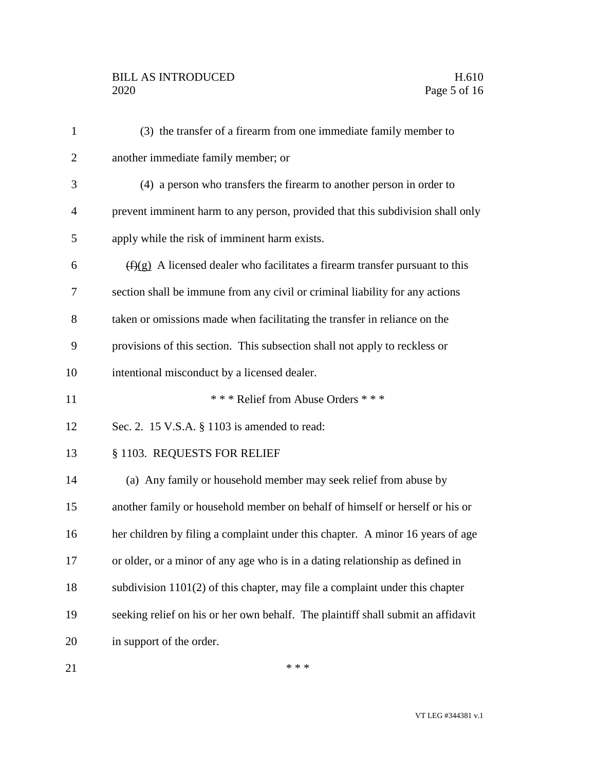## BILL AS INTRODUCED H.610<br>2020 Page 5 of 16

| $\mathbf{1}$   | (3) the transfer of a firearm from one immediate family member to                |
|----------------|----------------------------------------------------------------------------------|
| $\overline{2}$ | another immediate family member; or                                              |
| 3              | (4) a person who transfers the firearm to another person in order to             |
| $\overline{4}$ | prevent imminent harm to any person, provided that this subdivision shall only   |
| 5              | apply while the risk of imminent harm exists.                                    |
| 6              | $(f)(g)$ A licensed dealer who facilitates a firearm transfer pursuant to this   |
| 7              | section shall be immune from any civil or criminal liability for any actions     |
| 8              | taken or omissions made when facilitating the transfer in reliance on the        |
| 9              | provisions of this section. This subsection shall not apply to reckless or       |
| 10             | intentional misconduct by a licensed dealer.                                     |
| 11             | *** Relief from Abuse Orders ***                                                 |
| 12             | Sec. 2. 15 V.S.A. § 1103 is amended to read:                                     |
| 13             | § 1103. REQUESTS FOR RELIEF                                                      |
| 14             | (a) Any family or household member may seek relief from abuse by                 |
| 15             | another family or household member on behalf of himself or herself or his or     |
| 16             | her children by filing a complaint under this chapter. A minor 16 years of age   |
| 17             | or older, or a minor of any age who is in a dating relationship as defined in    |
| 18             | subdivision $1101(2)$ of this chapter, may file a complaint under this chapter   |
| 19             | seeking relief on his or her own behalf. The plaintiff shall submit an affidavit |
| 20             | in support of the order.                                                         |
|                |                                                                                  |

 $***$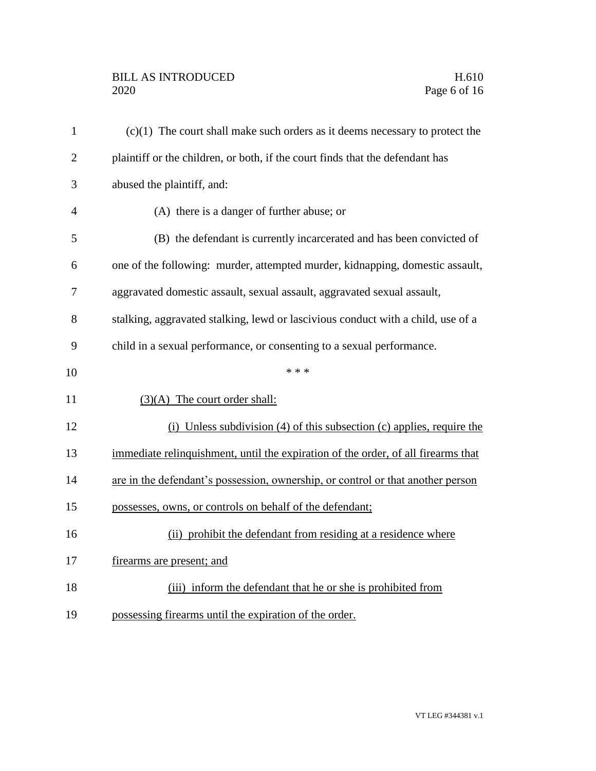## BILL AS INTRODUCED H.610<br>2020 Page 6 of 16

| $\mathbf{1}$   | $(c)(1)$ The court shall make such orders as it deems necessary to protect the    |
|----------------|-----------------------------------------------------------------------------------|
| $\overline{2}$ | plaintiff or the children, or both, if the court finds that the defendant has     |
| 3              | abused the plaintiff, and:                                                        |
| $\overline{4}$ | (A) there is a danger of further abuse; or                                        |
| 5              | (B) the defendant is currently incarcerated and has been convicted of             |
| 6              | one of the following: murder, attempted murder, kidnapping, domestic assault,     |
| 7              | aggravated domestic assault, sexual assault, aggravated sexual assault,           |
| 8              | stalking, aggravated stalking, lewd or lascivious conduct with a child, use of a  |
| 9              | child in a sexual performance, or consenting to a sexual performance.             |
| 10             | * * *                                                                             |
| 11             | $(3)(A)$ The court order shall:                                                   |
| 12             | $(i)$ Unless subdivision (4) of this subsection (c) applies, require the          |
| 13             | immediate relinquishment, until the expiration of the order, of all firearms that |
| 14             | are in the defendant's possession, ownership, or control or that another person   |
| 15             | possesses, owns, or controls on behalf of the defendant;                          |
| 16             | (ii) prohibit the defendant from residing at a residence where                    |
| 17             | firearms are present; and                                                         |
| 18             | (iii) inform the defendant that he or she is prohibited from                      |
| 19             | possessing firearms until the expiration of the order.                            |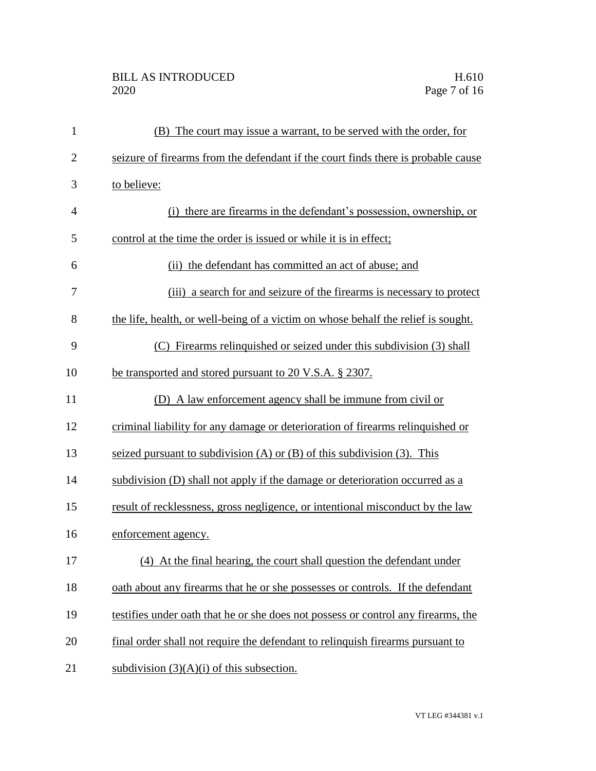## BILL AS INTRODUCED H.610<br>2020 Page 7 of 16

| $\mathbf{1}$   | (B) The court may issue a warrant, to be served with the order, for               |
|----------------|-----------------------------------------------------------------------------------|
| $\overline{2}$ | seizure of firearms from the defendant if the court finds there is probable cause |
| 3              | to believe:                                                                       |
| $\overline{4}$ | (i) there are firearms in the defendant's possession, ownership, or               |
| 5              | control at the time the order is issued or while it is in effect;                 |
| 6              | (ii) the defendant has committed an act of abuse; and                             |
| 7              | (iii) a search for and seizure of the firearms is necessary to protect            |
| 8              | the life, health, or well-being of a victim on whose behalf the relief is sought. |
| 9              | (C) Firearms relinquished or seized under this subdivision (3) shall              |
| 10             | be transported and stored pursuant to 20 V.S.A. § 2307.                           |
| 11             | (D) A law enforcement agency shall be immune from civil or                        |
| 12             | criminal liability for any damage or deterioration of firearms relinquished or    |
| 13             | seized pursuant to subdivision $(A)$ or $(B)$ of this subdivision $(3)$ . This    |
| 14             | subdivision (D) shall not apply if the damage or deterioration occurred as a      |
| 15             | result of recklessness, gross negligence, or intentional misconduct by the law    |
| 16             | enforcement agency.                                                               |
| 17             | (4) At the final hearing, the court shall question the defendant under            |
| 18             | oath about any firearms that he or she possesses or controls. If the defendant    |
| 19             | testifies under oath that he or she does not possess or control any firearms, the |
| 20             | final order shall not require the defendant to relinquish firearms pursuant to    |
| 21             | subdivision $(3)(A)(i)$ of this subsection.                                       |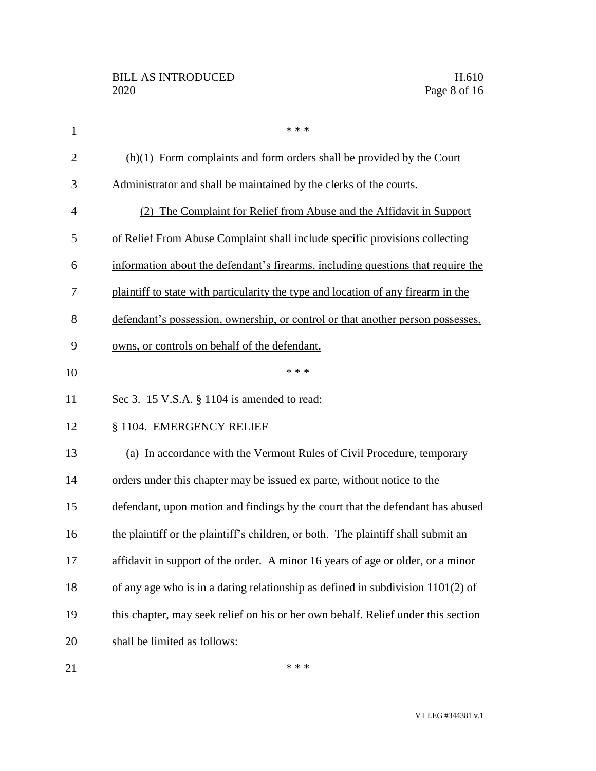| $\mathbf{1}$   | * * *                                                                             |
|----------------|-----------------------------------------------------------------------------------|
| $\overline{2}$ | $(h)(1)$ Form complaints and form orders shall be provided by the Court           |
| 3              | Administrator and shall be maintained by the clerks of the courts.                |
| $\overline{4}$ | (2) The Complaint for Relief from Abuse and the Affidavit in Support              |
| 5              | of Relief From Abuse Complaint shall include specific provisions collecting       |
| 6              | information about the defendant's firearms, including questions that require the  |
| 7              | plaintiff to state with particularity the type and location of any firearm in the |
| 8              | defendant's possession, ownership, or control or that another person possesses,   |
| 9              | owns, or controls on behalf of the defendant.                                     |
| 10             | * * *                                                                             |
| 11             | Sec 3. 15 V.S.A. § 1104 is amended to read:                                       |
| 12             | § 1104. EMERGENCY RELIEF                                                          |
| 13             | (a) In accordance with the Vermont Rules of Civil Procedure, temporary            |
| 14             | orders under this chapter may be issued ex parte, without notice to the           |
| 15             | defendant, upon motion and findings by the court that the defendant has abused    |
| 16             | the plaintiff or the plaintiff's children, or both. The plaintiff shall submit an |
| 17             | affidavit in support of the order. A minor 16 years of age or older, or a minor   |
| 18             | of any age who is in a dating relationship as defined in subdivision $1101(2)$ of |
| 19             | this chapter, may seek relief on his or her own behalf. Relief under this section |
| 20             | shall be limited as follows:                                                      |
|                |                                                                                   |

 $***$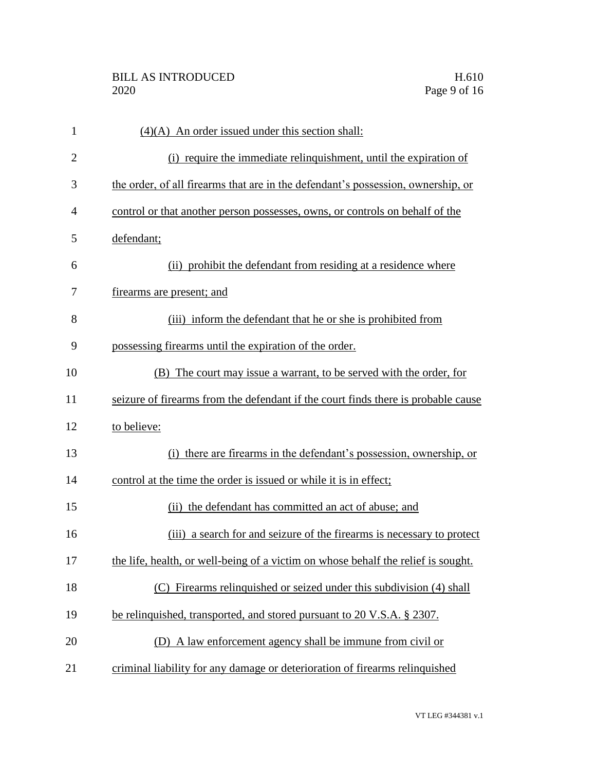| $\mathbf{1}$   | $(4)(A)$ An order issued under this section shall:                                |
|----------------|-----------------------------------------------------------------------------------|
| $\overline{2}$ | (i) require the immediate relinquishment, until the expiration of                 |
| 3              | the order, of all firearms that are in the defendant's possession, ownership, or  |
| $\overline{4}$ | control or that another person possesses, owns, or controls on behalf of the      |
| 5              | defendant;                                                                        |
| 6              | (ii) prohibit the defendant from residing at a residence where                    |
| 7              | firearms are present; and                                                         |
| 8              | (iii) inform the defendant that he or she is prohibited from                      |
| 9              | possessing firearms until the expiration of the order.                            |
| 10             | (B) The court may issue a warrant, to be served with the order, for               |
| 11             | seizure of firearms from the defendant if the court finds there is probable cause |
| 12             | to believe:                                                                       |
| 13             | (i) there are firearms in the defendant's possession, ownership, or               |
| 14             | control at the time the order is issued or while it is in effect;                 |
| 15             | (ii) the defendant has committed an act of abuse; and                             |
| 16             | (iii) a search for and seizure of the firearms is necessary to protect            |
| 17             | the life, health, or well-being of a victim on whose behalf the relief is sought. |
| 18             | Firearms relinquished or seized under this subdivision (4) shall<br>(C)           |
| 19             | be relinquished, transported, and stored pursuant to 20 V.S.A. § 2307.            |
| 20             | (D) A law enforcement agency shall be immune from civil or                        |
| 21             | criminal liability for any damage or deterioration of firearms relinquished       |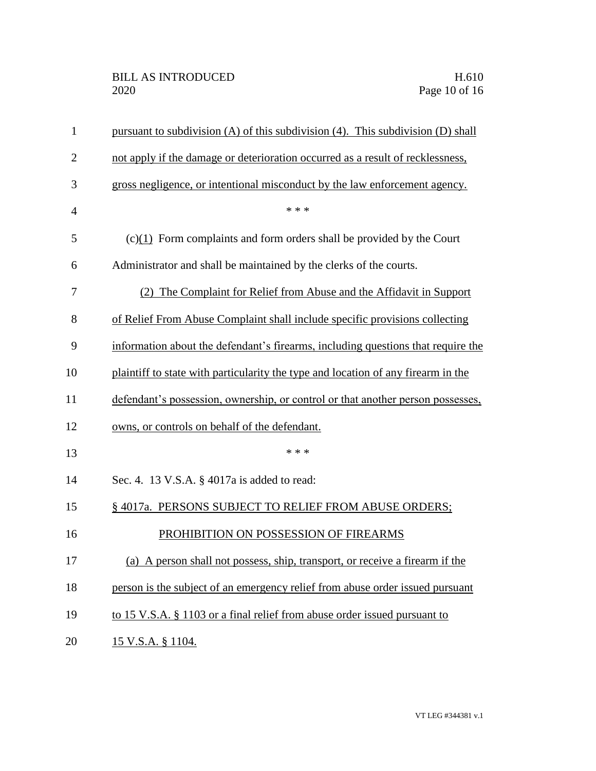| $\mathbf{1}$   | pursuant to subdivision (A) of this subdivision (4). This subdivision (D) shall   |
|----------------|-----------------------------------------------------------------------------------|
| $\overline{2}$ | not apply if the damage or deterioration occurred as a result of recklessness,    |
| 3              | gross negligence, or intentional misconduct by the law enforcement agency.        |
| $\overline{4}$ | * * *                                                                             |
| 5              | $(c)(1)$ Form complaints and form orders shall be provided by the Court           |
| 6              | Administrator and shall be maintained by the clerks of the courts.                |
| 7              | (2) The Complaint for Relief from Abuse and the Affidavit in Support              |
| 8              | of Relief From Abuse Complaint shall include specific provisions collecting       |
| 9              | information about the defendant's firearms, including questions that require the  |
| 10             | plaintiff to state with particularity the type and location of any firearm in the |
| 11             | defendant's possession, ownership, or control or that another person possesses,   |
| 12             | owns, or controls on behalf of the defendant.                                     |
| 13             | * * *                                                                             |
| 14             | Sec. 4. 13 V.S.A. § 4017a is added to read:                                       |
| 15             | § 4017a. PERSONS SUBJECT TO RELIEF FROM ABUSE ORDERS;                             |
| 16             | PROHIBITION ON POSSESSION OF FIREARMS                                             |
| 17             | (a) A person shall not possess, ship, transport, or receive a firearm if the      |
| 18             | person is the subject of an emergency relief from abuse order issued pursuant     |
| 19             | to 15 V.S.A. § 1103 or a final relief from abuse order issued pursuant to         |
| 20             | 15 V.S.A. § 1104.                                                                 |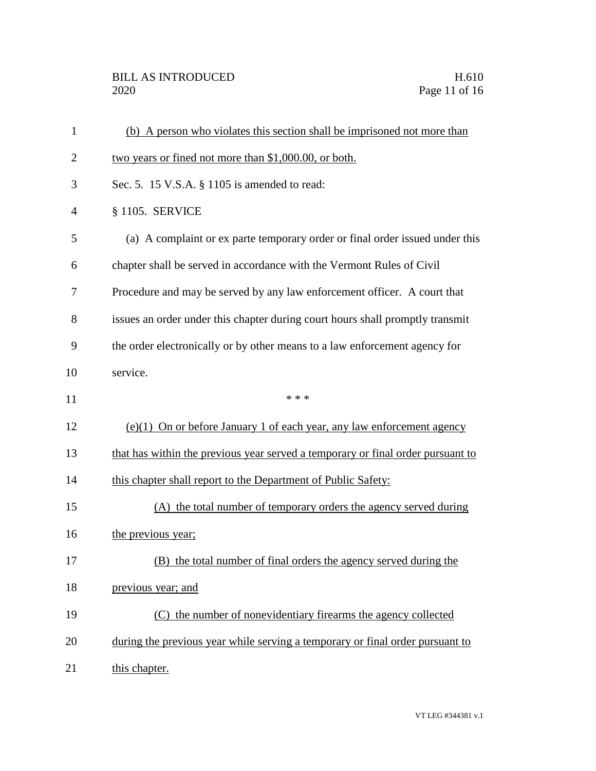| $\mathbf{1}$   | (b) A person who violates this section shall be imprisoned not more than        |
|----------------|---------------------------------------------------------------------------------|
| $\overline{2}$ | two years or fined not more than \$1,000.00, or both.                           |
| 3              | Sec. 5. 15 V.S.A. § 1105 is amended to read:                                    |
| $\overline{4}$ | $§ 1105$ . SERVICE                                                              |
| 5              | (a) A complaint or ex parte temporary order or final order issued under this    |
| 6              | chapter shall be served in accordance with the Vermont Rules of Civil           |
| 7              | Procedure and may be served by any law enforcement officer. A court that        |
| 8              | issues an order under this chapter during court hours shall promptly transmit   |
| 9              | the order electronically or by other means to a law enforcement agency for      |
| 10             | service.                                                                        |
| 11             | * * *                                                                           |
| 12             | $(e)(1)$ On or before January 1 of each year, any law enforcement agency        |
| 13             | that has within the previous year served a temporary or final order pursuant to |
| 14             | this chapter shall report to the Department of Public Safety:                   |
| 15             | (A) the total number of temporary orders the agency served during               |
| 16             | the previous year;                                                              |
| 17             | (B) the total number of final orders the agency served during the               |
| 18             | previous year; and                                                              |
| 19             | (C) the number of nonevidentiary firearms the agency collected                  |
| 20             | during the previous year while serving a temporary or final order pursuant to   |
| 21             | this chapter.                                                                   |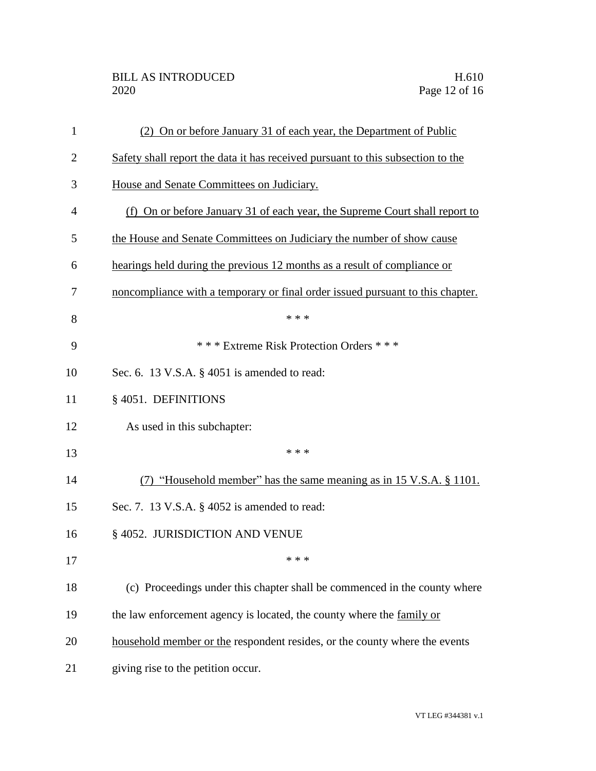| 1              | (2) On or before January 31 of each year, the Department of Public              |
|----------------|---------------------------------------------------------------------------------|
| $\overline{2}$ | Safety shall report the data it has received pursuant to this subsection to the |
| 3              | House and Senate Committees on Judiciary.                                       |
| $\overline{4}$ | (f) On or before January 31 of each year, the Supreme Court shall report to     |
| 5              | the House and Senate Committees on Judiciary the number of show cause           |
| 6              | hearings held during the previous 12 months as a result of compliance or        |
| 7              | noncompliance with a temporary or final order issued pursuant to this chapter.  |
| 8              | * * *                                                                           |
| 9              | *** Extreme Risk Protection Orders ***                                          |
| 10             | Sec. 6. 13 V.S.A. § 4051 is amended to read:                                    |
| 11             | §4051. DEFINITIONS                                                              |
| 12             | As used in this subchapter:                                                     |
| 13             | * * *                                                                           |
| 14             | (7) "Household member" has the same meaning as in 15 V.S.A. § 1101.             |
| 15             | Sec. 7. 13 V.S.A. § 4052 is amended to read:                                    |
| 16             | § 4052. JURISDICTION AND VENUE                                                  |
| 17             | * * *                                                                           |
| 18             | (c) Proceedings under this chapter shall be commenced in the county where       |
| 19             | the law enforcement agency is located, the county where the family or           |
| 20             | household member or the respondent resides, or the county where the events      |
| 21             | giving rise to the petition occur.                                              |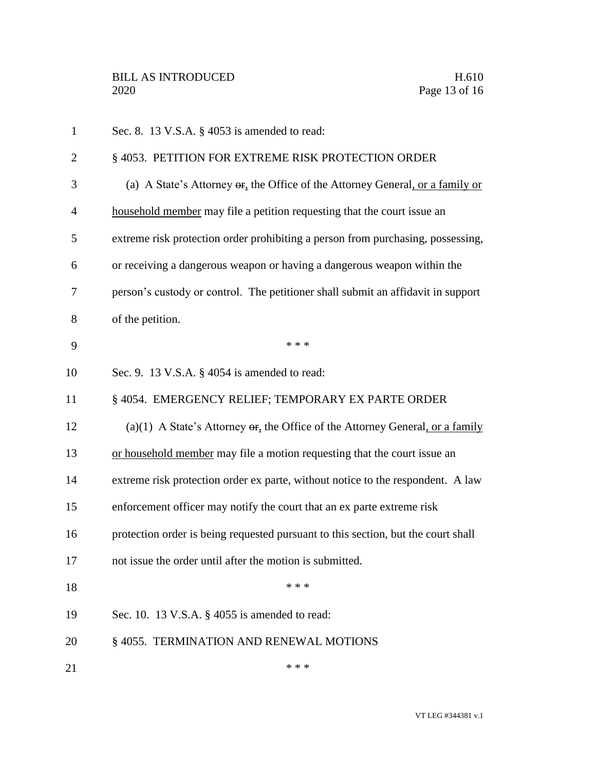| $\mathbf{1}$   | Sec. 8. 13 V.S.A. § 4053 is amended to read:                                                      |
|----------------|---------------------------------------------------------------------------------------------------|
| $\overline{2}$ | § 4053. PETITION FOR EXTREME RISK PROTECTION ORDER                                                |
| 3              | (a) A State's Attorney $\Theta$ <sub>r</sub> , the Office of the Attorney General, or a family or |
| $\overline{4}$ | household member may file a petition requesting that the court issue an                           |
| 5              | extreme risk protection order prohibiting a person from purchasing, possessing,                   |
| 6              | or receiving a dangerous weapon or having a dangerous weapon within the                           |
| 7              | person's custody or control. The petitioner shall submit an affidavit in support                  |
| 8              | of the petition.                                                                                  |
| 9              | * * *                                                                                             |
| 10             | Sec. 9. 13 V.S.A. § 4054 is amended to read:                                                      |
| 11             | § 4054. EMERGENCY RELIEF; TEMPORARY EX PARTE ORDER                                                |
| 12             | (a)(1) A State's Attorney $\Theta$ . the Office of the Attorney General, or a family              |
| 13             | or household member may file a motion requesting that the court issue an                          |
| 14             | extreme risk protection order ex parte, without notice to the respondent. A law                   |
| 15             | enforcement officer may notify the court that an ex parte extreme risk                            |
| 16             | protection order is being requested pursuant to this section, but the court shall                 |
| 17             | not issue the order until after the motion is submitted.                                          |
| 18             | * * *                                                                                             |
| 19             | Sec. 10. 13 V.S.A. § 4055 is amended to read:                                                     |
| 20             | §4055. TERMINATION AND RENEWAL MOTIONS                                                            |
| 21             | * * *                                                                                             |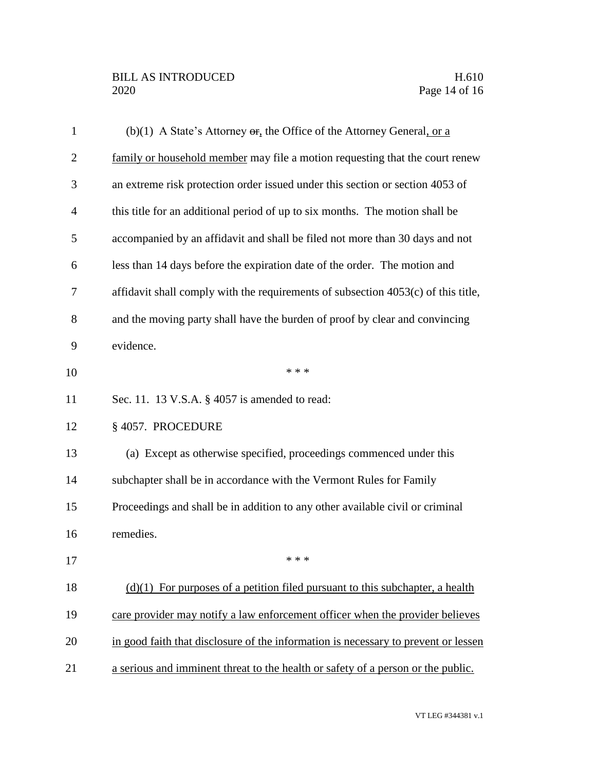## BILL AS INTRODUCED H.610<br>2020 Page 14 of 16

| $\mathbf{1}$   | (b)(1) A State's Attorney $\Theta$ <b>F</b> , the Office of the Attorney General, or a |
|----------------|----------------------------------------------------------------------------------------|
| $\overline{c}$ | family or household member may file a motion requesting that the court renew           |
| 3              | an extreme risk protection order issued under this section or section 4053 of          |
| $\overline{4}$ | this title for an additional period of up to six months. The motion shall be           |
| 5              | accompanied by an affidavit and shall be filed not more than 30 days and not           |
| 6              | less than 14 days before the expiration date of the order. The motion and              |
| 7              | affidavit shall comply with the requirements of subsection 4053(c) of this title,      |
| 8              | and the moving party shall have the burden of proof by clear and convincing            |
| 9              | evidence.                                                                              |
| 10             | * * *                                                                                  |
| 11             | Sec. 11. 13 V.S.A. § 4057 is amended to read:                                          |
| 12             | § 4057. PROCEDURE                                                                      |
| 13             | (a) Except as otherwise specified, proceedings commenced under this                    |
| 14             | subchapter shall be in accordance with the Vermont Rules for Family                    |
| 15             | Proceedings and shall be in addition to any other available civil or criminal          |
| 16             | remedies.                                                                              |
| 17             | * * *                                                                                  |
| 18             | $(d)(1)$ For purposes of a petition filed pursuant to this subchapter, a health        |
| 19             | care provider may notify a law enforcement officer when the provider believes          |
| 20             | in good faith that disclosure of the information is necessary to prevent or lessen     |
| 21             | a serious and imminent threat to the health or safety of a person or the public.       |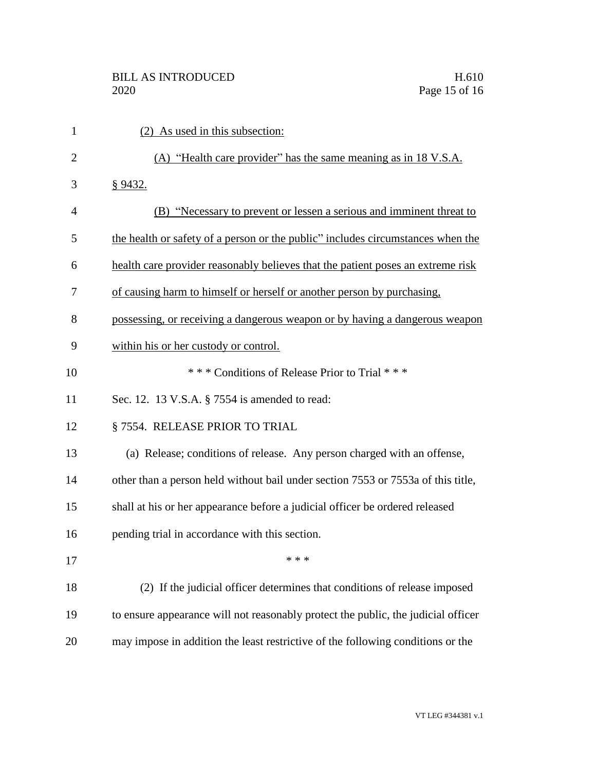| $\mathbf{1}$   | (2) As used in this subsection:                                                   |
|----------------|-----------------------------------------------------------------------------------|
| $\overline{2}$ | (A) "Health care provider" has the same meaning as in 18 V.S.A.                   |
| 3              | <u>§9432.</u>                                                                     |
| $\overline{4}$ | (B) "Necessary to prevent or lessen a serious and imminent threat to              |
| 5              | the health or safety of a person or the public" includes circumstances when the   |
| 6              | health care provider reasonably believes that the patient poses an extreme risk   |
| 7              | of causing harm to himself or herself or another person by purchasing.            |
| 8              | possessing, or receiving a dangerous weapon or by having a dangerous weapon       |
| 9              | within his or her custody or control.                                             |
| 10             | *** Conditions of Release Prior to Trial ***                                      |
| 11             | Sec. 12. 13 V.S.A. § 7554 is amended to read:                                     |
| 12             | § 7554. RELEASE PRIOR TO TRIAL                                                    |
| 13             | (a) Release; conditions of release. Any person charged with an offense,           |
| 14             | other than a person held without bail under section 7553 or 7553a of this title,  |
| 15             | shall at his or her appearance before a judicial officer be ordered released      |
| 16             | pending trial in accordance with this section.                                    |
| 17             | * * *                                                                             |
| 18             | (2) If the judicial officer determines that conditions of release imposed         |
| 19             | to ensure appearance will not reasonably protect the public, the judicial officer |
| 20             | may impose in addition the least restrictive of the following conditions or the   |